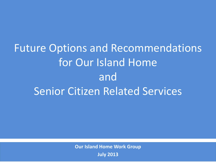# Future Options and Recommendations for Our Island Home and Senior Citizen Related Services

**Our Island Home Work Group**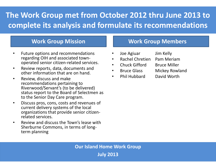## **The Work Group met from October 2012 thru June 2013 to complete its analysis and formulate its recommendations**

#### **Work Group Mission**

- Future options and recommendations regarding OIH and associated townoperated senior citizen-related services.
- Review reports, data, documents and other information that are on hand.
- Review, discuss and make recommendations pertaining to Riverwood/Servant's (to be delivered) status report to the Board of Selectmen as to the Senior Day Care program.
- Discuss pros, cons, costs and revenues of current delivery systems of the local organizations that provide senior citizenrelated services.
- Review and discuss the Town's lease with Sherburne Commons, in terms of longterm planning

#### **Work Group Members**

- Joe Agiuar Jim Kelly
- Rachel Chretien Pam Meriam
- Chuck Gifford Bruce Miller
- Bruce Glass Mickey Rowland
- Phil Hubbard David Worth

**Our Island Home Work Group July 2013**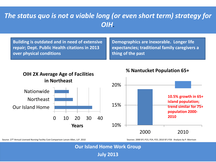#### *The status quo is not a viable long (or even short term) strategy for OIH.*

**Building is outdated and in need of extensive repair; Dept. Public Health citations in 2013 over physical conditions**

**Demographics are inexorable. Longer life expectancies; traditional family caregivers a thing of the past**



Source: 27th Annual Licensed Nursing Facility Cost Comparison Larson Allen, LLP. 2010



#### **% Nantucket Population 65+**

Sources: 2000 SF1 P23, P24, P25; 2010 SF1 P26 Analysis by P. Morrison

**Our Island Home Work Group**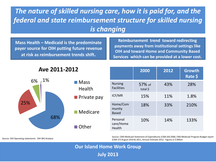## *The nature of skilled nursing care, how it is paid for, and the federal and state reimbursement structure for skilled nursing is changing*

**Mass Health – Medicaid is the predominate payer source for OIH putting future revenue at risk as reimbursement trends shift.** 

**Reimbursement trend toward redirecting payments away from institutional settings like OIH and toward Home and Community Based Services which can be provided at a lower cost.** 

| Ave 2011-2012 |                               | 2000                                | 2012               | <b>Growth</b><br>Rate \$ |      |
|---------------|-------------------------------|-------------------------------------|--------------------|--------------------------|------|
| $-1\%$<br>6%  | $\blacksquare$ Mass<br>Health | <b>Nursing</b><br><b>Facilities</b> | 57% of<br>total \$ | 43%                      | 28%  |
|               | <b>Private pay</b>            | ICF/MR                              | 15%                | 11%                      | 1.8% |
| 25%           | $\blacksquare$ Medicare       | Home/Com<br>munity<br><b>Based</b>  | 18%                | 33%                      | 210% |
|               | 68%<br>Other                  | Personal<br>care/Home<br>Health     | 10%                | 14%                      | 133% |

Source: CMS Medicaid Statement of Expenditures (CMS-64) 2000, CMS Medicaid Program Budget report Source: OIH Operating statements. OIH WG Analysis **Source: OIH Operating statements. OIH WG Analysis Source: OIH Operating statements. OIH WG Analysis Source: OIH Operating statements. OIH WG Analysis Source: OIH Ope** 

**Our Island Home Work Group**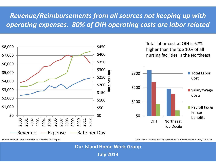## *Revenue/Reimbursements from all sources not keeping up with operating expenses. 80% of OIH operating costs are labor related*



Total labor cost at OIH is 67% higher than the top 10% of all nursing facilities in the Northeast



Source: Town of Nantucket Historical Financials Cost Report 27th Annual Licensed Nursing Facility Cost Comparison Larson Allen, LLP. 2010

**Our Island Home Work Group**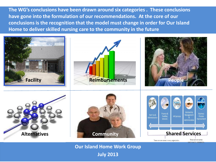**The WG's conclusions have been drawn around six categories . These conclusions have gone into the formulation of our recommendations. At the core of our conclusions is the recognition that the model must change in order for Our Island Home to deliver skilled nursing care to the community in the future**



**Our Island Home Work Group**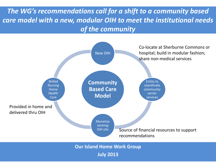*The WG's recommendations call for a shift to a community based care model with a new, modular OIH to meet the institutional needs of the community*